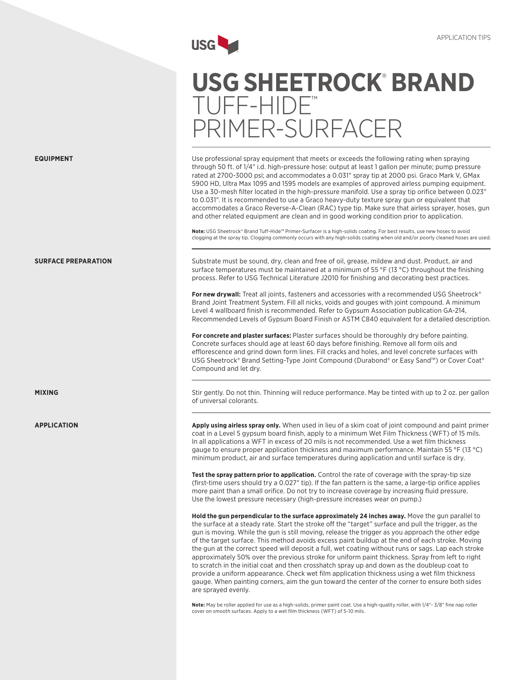

# **USG SHEETROCK**®  **Brand**  Tuff-Hide™ Primer-Surfacer

Use professional spray equipment that meets or exceeds the following rating when spraying through 50 ft. of 1/4" i.d. high-pressure hose: output at least 1 gallon per minute; pump pressure rated at 2700-3000 psi; and accommodates a 0.031" spray tip at 2000 psi. Graco Mark V, GMax 5900 HD, Ultra Max 1095 and 1595 models are examples of approved airless pumping equipment. Use a 30-mesh filter located in the high-pressure manifold. Use a spray tip orifice between 0.023" to 0.031". It is recommended to use a Graco heavy-duty texture spray gun or equivalent that accommodates a Graco Reverse-A-Clean (RAC) type tip. Make sure that airless sprayer, hoses, gun and other related equipment are clean and in good working condition prior to application.

**Note:** USG Sheetrock® Brand Tuff-Hide™ Primer-Surfacer is a high-solids coating. For best results, use new hoses to avoid clogging at the spray tip. Clogging commonly occurs with any high-solids coating when old and/or poorly cleaned hoses are used.

Substrate must be sound, dry, clean and free of oil, grease, mildew and dust. Product, air and surface temperatures must be maintained at a minimum of 55 °F (13 °C) throughout the finishing process. Refer to USG Technical Literature J2010 for finishing and decorating best practices.

For new drywall: Treat all joints, fasteners and accessories with a recommended USG Sheetrock<sup>®</sup> Brand Joint Treatment System. Fill all nicks, voids and gouges with joint compound. A minimum Level 4 wallboard finish is recommended. Refer to Gypsum Association publication GA-214, Recommended Levels of Gypsum Board Finish or ASTM C840 equivalent for a detailed description.

**For concrete and plaster surfaces:** Plaster surfaces should be thoroughly dry before painting. Concrete surfaces should age at least 60 days before finishing. Remove all form oils and efflorescence and grind down form lines. Fill cracks and holes, and level concrete surfaces with USG Sheetrock® Brand Setting-Type Joint Compound (Durabond® or Easy Sand™) or Cover Coat® Compound and let dry.

Stir gently. Do not thin. Thinning will reduce performance. May be tinted with up to 2 oz. per gallon of universal colorants.

**Apply using airless spray only.** When used in lieu of a skim coat of joint compound and paint primer coat in a Level 5 gypsum board finish, apply to a minimum Wet Film Thickness (WFT) of 15 mils. In all applications a WFT in excess of 20 mils is not recommended. Use a wet film thickness gauge to ensure proper application thickness and maximum performance. Maintain 55 °F (13 °C) minimum product, air and surface temperatures during application and until surface is dry.

**Test the spray pattern prior to application.** Control the rate of coverage with the spray-tip size (first-time users should try a 0.027" tip). If the fan pattern is the same, a large-tip orifice applies more paint than a small orifice. Do not try to increase coverage by increasing fluid pressure. Use the lowest pressure necessary (high-pressure increases wear on pump.)

**Hold the gun perpendicular to the surface approximately 24 inches away.** Move the gun parallel to the surface at a steady rate. Start the stroke off the "target" surface and pull the trigger, as the gun is moving. While the gun is still moving, release the trigger as you approach the other edge of the target surface. This method avoids excess paint buildup at the end of each stroke. Moving the gun at the correct speed will deposit a full, wet coating without runs or sags. Lap each stroke approximately 50% over the previous stroke for uniform paint thickness. Spray from left to right to scratch in the initial coat and then crosshatch spray up and down as the doubleup coat to provide a uniform appearance. Check wet film application thickness using a wet film thickness gauge. When painting corners, aim the gun toward the center of the corner to ensure both sides are sprayed evenly.

**Note:** May be roller applied for use as a high-solids, primer paint coat. Use a high-quality roller, with 1/4"- 3/8" fine nap roller cover on smooth surfaces. Apply to a wet film thickness (WFT) of 5-10 mils.



**Surface Preparation**

**Mixing**

**Application**